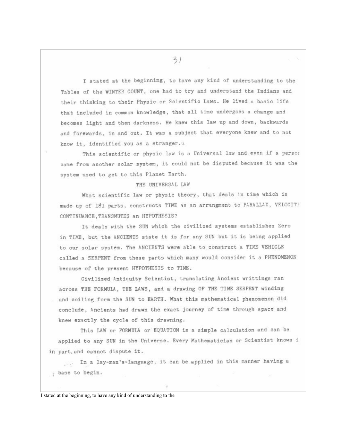I stated at the beginning, to have any kind of understanding to the Tables of the WINTER COUNT, one had to try and understand the Indians and their thinking to their Physic or Scientific Laws. He lived a basic life that included in common knowledge, that all time undergoes a change and becomes light and then darkness. He knew this law up and down, backwards and forewards, in and out. It was a subject that everyone knew and to not know it, identified you as a stranger.

This scientific or physic law is a Universal law and even if a person came from another solar system, it could not be disputed because it was the system used to get to this Planet Earth.

## THE UNIVERSAL LAW

What scientific law or physic theory, that deals in time which is made up of 181 parts, constructs TIME as an arrangment to PARALLAX, VELOCIT) CONTINUANCE, TRANSMUTES an HYPOTHESIS?

It deals with the SUN which the civilized systems establishes Zero in TIME, but the ANCIENTS state it is for any SUN but it is being applied to our solar system. The ANCIENTS were able to construct a TIME VEHICLE called a SERPENT from these parts which many would consider it a PHENOMENON because of the present HYPOTHESIS to TIME.

Civilized Antiquity Scientist, translating Ancient writtings ran across THE FORMULA, THE LAWS, and a drawing OF THE TIME SERPENT winding and coiling form the SUN to EARTH. What this mathematical phenomenon did conclude, Ancients had drawn the exact journey of time through space and knew exactly the cycle of this drawning.

This LAW or FORMULA or EQUATION is a simple calculation and can be applied to any SUN in the Universe. Every Mathematician or Scientist knows i in part, and cannot dispute it.

... In a lay-man's-language, it can be applied in this manner having a , base to begin.

I stated at the beginning, to have any kind of understanding to the

 $31$